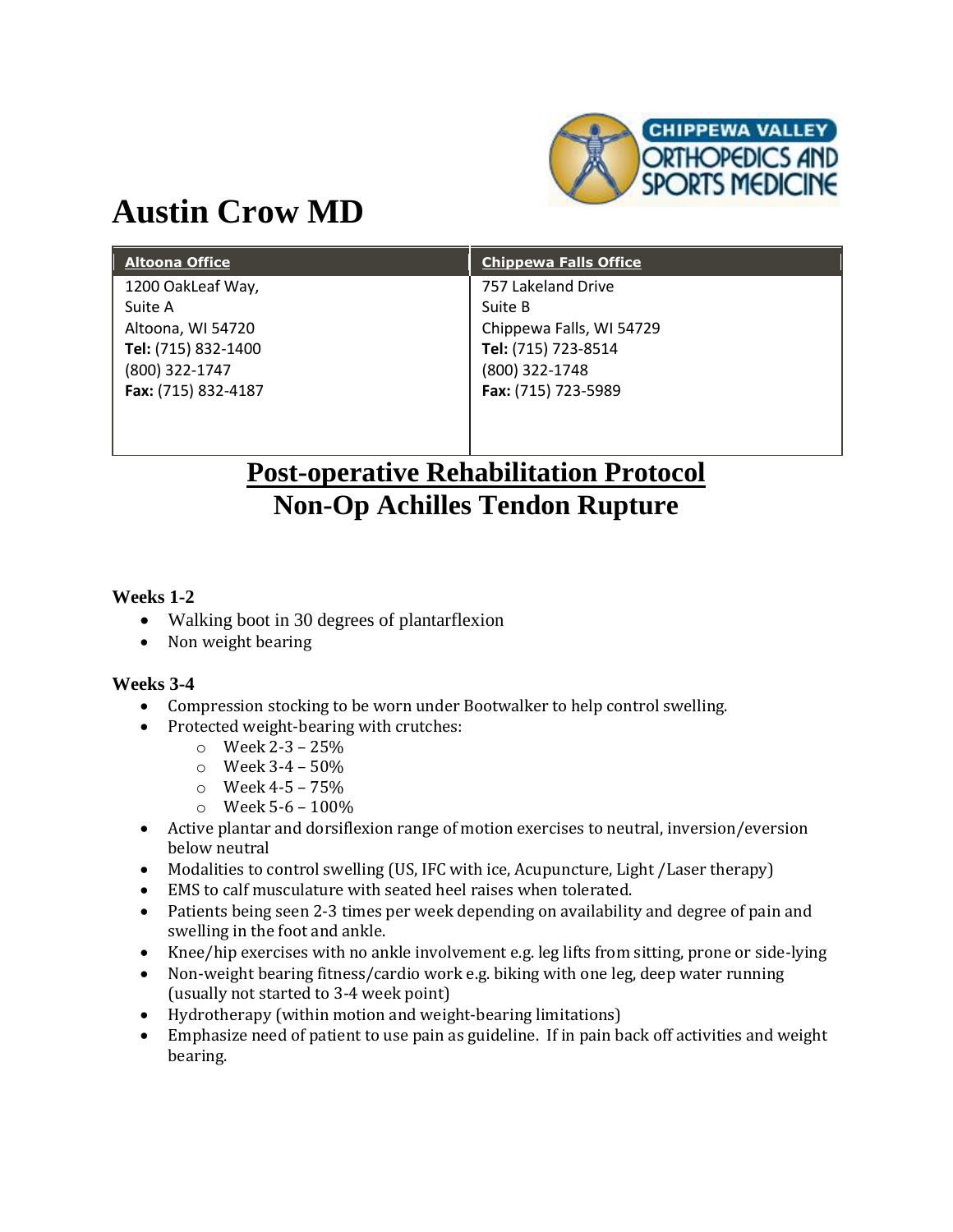

# **Austin Crow MD**

| <b>Altoona Office</b> | <b>Chippewa Falls Office</b> |
|-----------------------|------------------------------|
| 1200 OakLeaf Way,     | 757 Lakeland Drive           |
| Suite A               | Suite B                      |
| Altoona, WI 54720     | Chippewa Falls, WI 54729     |
| Tel: (715) 832-1400   | Tel: (715) 723-8514          |
| (800) 322-1747        | (800) 322-1748               |
| Fax: (715) 832-4187   | Fax: (715) 723-5989          |
|                       |                              |

# **Post-operative Rehabilitation Protocol Non-Op Achilles Tendon Rupture**

#### **Weeks 1-2**

- Walking boot in 30 degrees of plantarflexion
- Non weight bearing

#### **Weeks 3-4**

- Compression stocking to be worn under Bootwalker to help control swelling.
- Protected weight-bearing with crutches:
	- $\circ$  Week 2-3 25%
	- $\circ$  Week 3-4 50%
	- $\circ$  Week 4-5 75%
	- $\circ$  Week 5-6 100%
- Active plantar and dorsiflexion range of motion exercises to neutral, inversion/eversion below neutral
- Modalities to control swelling (US, IFC with ice, Acupuncture, Light /Laser therapy)
- EMS to calf musculature with seated heel raises when tolerated.
- Patients being seen 2-3 times per week depending on availability and degree of pain and swelling in the foot and ankle.
- Knee/hip exercises with no ankle involvement e.g. leg lifts from sitting, prone or side-lying
- Non-weight bearing fitness/cardio work e.g. biking with one leg, deep water running (usually not started to 3-4 week point)
- Hydrotherapy (within motion and weight-bearing limitations)
- Emphasize need of patient to use pain as guideline. If in pain back off activities and weight bearing.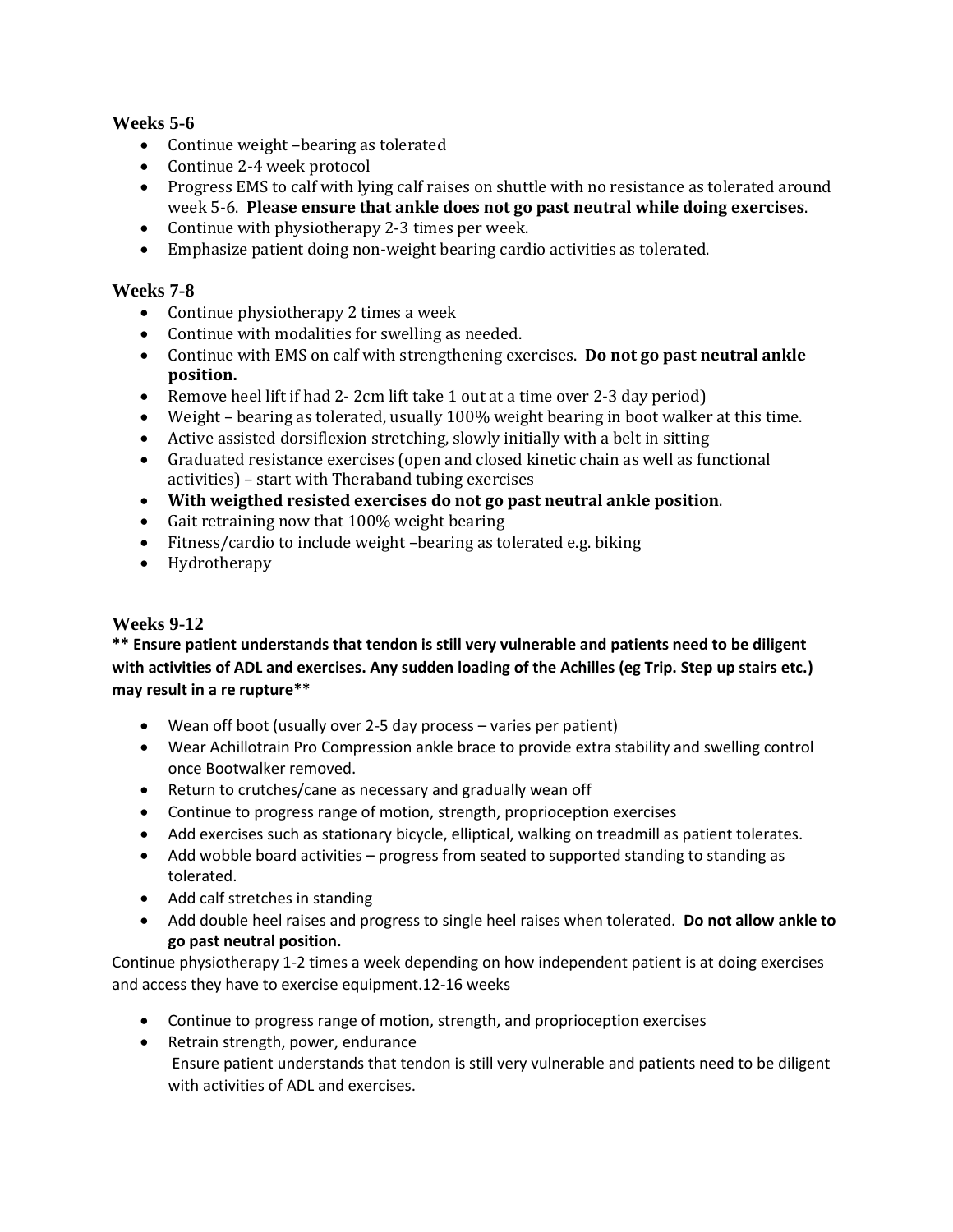#### **Weeks 5-6**

- Continue weight -bearing as tolerated
- Continue 2-4 week protocol
- Progress EMS to calf with lying calf raises on shuttle with no resistance as tolerated around week 5-6. **Please ensure that ankle does not go past neutral while doing exercises**.
- Continue with physiotherapy 2-3 times per week.
- Emphasize patient doing non-weight bearing cardio activities as tolerated.

#### **Weeks 7-8**

- Continue physiotherapy 2 times a week
- Continue with modalities for swelling as needed.
- Continue with EMS on calf with strengthening exercises. **Do not go past neutral ankle position.**
- Remove heel lift if had 2- 2cm lift take 1 out at a time over 2-3 day period)
- Weight bearing as tolerated, usually 100% weight bearing in boot walker at this time.
- Active assisted dorsiflexion stretching, slowly initially with a belt in sitting
- Graduated resistance exercises (open and closed kinetic chain as well as functional activities) – start with Theraband tubing exercises
- **With weigthed resisted exercises do not go past neutral ankle position**.
- Gait retraining now that 100% weight bearing
- Fitness/cardio to include weight –bearing as tolerated e.g. biking
- Hydrotherapy

#### **Weeks 9-12**

**\*\* Ensure patient understands that tendon is still very vulnerable and patients need to be diligent with activities of ADL and exercises. Any sudden loading of the Achilles (eg Trip. Step up stairs etc.) may result in a re rupture\*\***

- Wean off boot (usually over 2-5 day process varies per patient)
- Wear Achillotrain Pro Compression ankle brace to provide extra stability and swelling control once Bootwalker removed.
- Return to crutches/cane as necessary and gradually wean off
- Continue to progress range of motion, strength, proprioception exercises
- Add exercises such as stationary bicycle, elliptical, walking on treadmill as patient tolerates.
- Add wobble board activities progress from seated to supported standing to standing as tolerated.
- Add calf stretches in standing
- Add double heel raises and progress to single heel raises when tolerated. **Do not allow ankle to go past neutral position.**

Continue physiotherapy 1-2 times a week depending on how independent patient is at doing exercises and access they have to exercise equipment.12-16 weeks

- Continue to progress range of motion, strength, and proprioception exercises
- Retrain strength, power, endurance Ensure patient understands that tendon is still very vulnerable and patients need to be diligent with activities of ADL and exercises.